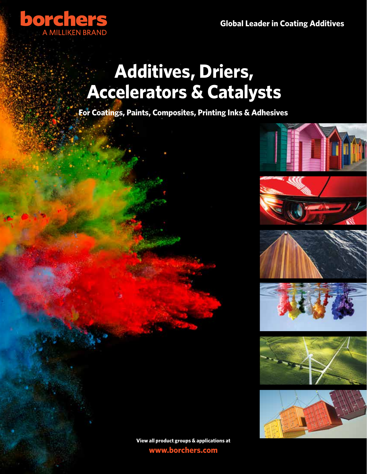

# **Additives, Driers, Accelerators & Catalysts**

**For Coatings, Paints, Composites, Printing Inks & Adhesives**





**View all product groups & applications at www.borchers.com**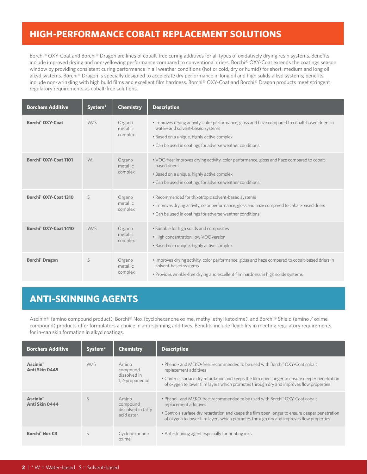## **HIGH-PERFORMANCE COBALT REPLACEMENT SOLUTIONS**

Borchi® OXY-Coat and Borchi® Dragon are lines of cobalt-free curing additives for all types of oxidatively drying resin systems. Benefits include improved drying and non-yellowing performance compared to conventional driers. Borchi® OXY-Coat extends the coatings season window by providing consistent curing performance in all weather conditions (hot or cold, dry or humid) for short, medium and long oil alkyd systems. Borchi® Dragon is specially designed to accelerate dry performance in long oil and high solids alkyd systems; benefits include non-wrinkling with high build films and excellent film hardness. Borchi® OXY-Coat and Borchi® Dragon products meet stringent regulatory requirements as cobalt-free solutions.

| <b>Borchers Additive</b>          | System <sup>*</sup> | <b>Chemistry</b>              | <b>Description</b>                                                                                                                                                                                                                             |
|-----------------------------------|---------------------|-------------------------------|------------------------------------------------------------------------------------------------------------------------------------------------------------------------------------------------------------------------------------------------|
| Borchi <sup>®</sup> OXY-Coat      | W/S                 | Organo<br>metallic<br>complex | • Improves drying activity, color performance, gloss and haze compared to cobalt-based driers in<br>water- and solvent-based systems<br>· Based on a unique, highly active complex<br>• Can be used in coatings for adverse weather conditions |
| Borchi <sup>®</sup> OXY-Coat 1101 | W                   | Organo<br>metallic<br>complex | . VOC-free; improves drying activity, color performance, gloss and haze compared to cobalt-<br>hased driers<br>. Based on a unique, highly active complex<br>• Can be used in coatings for adverse weather conditions                          |
| Borchi <sup>®</sup> OXY-Coat 1310 | S                   | Organo<br>metallic<br>complex | • Recommended for thixotropic solvent-based systems<br>• Improves drying activity, color performance, gloss and haze compared to cobalt-based driers<br>• Can be used in coatings for adverse weather conditions                               |
| Borchi <sup>®</sup> OXY-Coat 1410 | W/S                 | Organo<br>metallic<br>complex | • Suitable for high solids and composites<br>• High concentration, low VOC version<br>. Based on a unique, highly active complex                                                                                                               |
| Borchi <sup>®</sup> Dragon        | S                   | Organo<br>metallic<br>complex | • Improves drying activity, color performance, gloss and haze compared to cobalt-based driers in<br>solvent-based systems<br>. Provides wrinkle-free drying and excellent film hardness in high solids systems                                 |

## **ANTI-SKINNING AGENTS**

Ascinin® (amino compound product), Borchi® Nox (cyclohexanone oxime, methyl ethyl ketoxime), and Borchi® Shield (amino / oxime compound) products offer formulators a choice in anti-skinning additives. Benefits include flexibility in meeting regulatory requirements for in-can skin formation in alkyd coatings.

| <b>Borchers Additive</b>                      | System <sup>*</sup> | <b>Chemistry</b>                                      | <b>Description</b>                                                                                                                                                                                                                                                                                |
|-----------------------------------------------|---------------------|-------------------------------------------------------|---------------------------------------------------------------------------------------------------------------------------------------------------------------------------------------------------------------------------------------------------------------------------------------------------|
| <b>Ascinin</b> <sup>®</sup><br>Anti Skin 0445 | W/S                 | Amino<br>compound<br>dissolved in<br>1,2-propanediol  | . Phenol- and MEKO-free; recommended to be used with Borchi® OXY-Coat cobalt<br>replacement additives<br>• Controls surface dry retardation and keeps the film open longer to ensure deeper penetration<br>of oxygen to lower film layers which promotes through dry and improves flow properties |
| <b>Ascinin</b> <sup>®</sup><br>Anti Skin 0444 |                     | Amino<br>compound<br>dissolved in fatty<br>acid ester | . Phenol- and MEKO-free; recommended to be used with Borchi® OXY-Coat cobalt<br>replacement additives<br>• Controls surface dry retardation and keeps the film open longer to ensure deeper penetration<br>of oxygen to lower film layers which promotes through dry and improves flow properties |
| <b>Borchi<sup>®</sup> Nox C3</b>              |                     | Cyclohexanone<br>oxime                                | • Anti-skinning agent especially for printing inks                                                                                                                                                                                                                                                |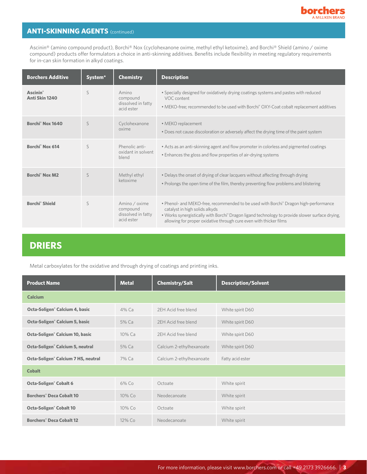

## **ANTI-SKINNING AGENTS (continued)**

Ascinin® (amino compound product), Borchi® Nox (cyclohexanone oxime, methyl ethyl ketoxime), and Borchi® Shield (amino / oxime compound) products offer formulators a choice in anti-skinning additives. Benefits include flexibility in meeting regulatory requirements for in-can skin formation in alkyd coatings.

| <b>Borchers Additive</b>                      | System <sup>*</sup> | <b>Chemistry</b>                                              | <b>Description</b>                                                                                                                                                                                                                                                                                                      |
|-----------------------------------------------|---------------------|---------------------------------------------------------------|-------------------------------------------------------------------------------------------------------------------------------------------------------------------------------------------------------------------------------------------------------------------------------------------------------------------------|
| <b>Ascinin</b> <sup>®</sup><br>Anti Skin 1240 | S                   | Amino<br>compound<br>dissolved in fatty<br>acid ester         | • Specially designed for oxidatively drying coatings systems and pastes with reduced<br>VOC content<br>• MEKO-free; recommended to be used with Borchi® OXY-Coat cobalt replacement additives                                                                                                                           |
| Borchi <sup>®</sup> Nox 1640                  | S                   | Cyclohexanone<br>oxime                                        | • MEKO replacement<br>• Does not cause discoloration or adversely affect the drying time of the paint system                                                                                                                                                                                                            |
| Borchi <sup>®</sup> Nox 614                   | S                   | Phenolic anti-<br>oxidant in solvent<br>blend                 | • Acts as an anti-skinning agent and flow promoter in colorless and pigmented coatings<br>. Enhances the gloss and flow properties of air-drying systems                                                                                                                                                                |
| <b>Borchi<sup>®</sup> Nox M2</b>              | S                   | Methyl ethyl<br>ketoxime                                      | • Delays the onset of drying of clear lacquers without affecting through drying<br>• Prolongs the open time of the film, thereby preventing flow problems and blistering                                                                                                                                                |
| <b>Borchi<sup>®</sup></b> Shield              | $\varsigma$         | Amino / oxime<br>compound<br>dissolved in fatty<br>acid ester | • Phenol- and MEKO-free, recommended to be used with Borchi <sup>®</sup> Dragon high-performance<br>catalyst in high solids alkyds<br>. Works synergistically with Borchi <sup>®</sup> Dragon ligand technology to provide slower surface drying,<br>allowing for proper oxidative through cure even with thicker films |

# **DRIERS**

Metal carboxylates for the oxidative and through drying of coatings and printing inks.

| <b>Product Name</b>                             | <b>Metal</b> | <b>Chemistry/Salt</b>    | <b>Description/Solvent</b> |
|-------------------------------------------------|--------------|--------------------------|----------------------------|
| <b>Calcium</b>                                  |              |                          |                            |
| Octa-Soligen <sup>®</sup> Calcium 4, basic      | 4% Ca        | 2EH Acid free blend      | White spirit D60           |
| Octa-Soligen <sup>®</sup> Calcium 5, basic      | 5% Ca        | 2EH Acid free blend      | White spirit D60           |
| Octa-Soligen <sup>®</sup> Calcium 10, basic     | 10% Ca       | 2EH Acid free blend      | White spirit D60           |
| Octa-Soligen <sup>®</sup> Calcium 5, neutral    | 5% Ca        | Calcium 2-ethylhexanoate | White spirit D60           |
| Octa-Soligen <sup>®</sup> Calcium 7 HS, neutral | 7% Ca        | Calcium 2-ethylhexanoate | Fatty acid ester           |
| <b>Cobalt</b>                                   |              |                          |                            |
| <b>Octa-Soligen<sup>®</sup> Cobalt 6</b>        | 6% Co        | Octoate                  | White spirit               |
| <b>Borchers<sup>®</sup> Deca Cobalt 10</b>      | 10% Co       | Neodecanoate             | White spirit               |
| <b>Octa-Soligen<sup>®</sup> Cobalt 10</b>       | 10% Co       | Octoate                  | White spirit               |
| <b>Borchers<sup>®</sup> Deca Cobalt 12</b>      | 12% Co       | Neodecanoate             | White spirit               |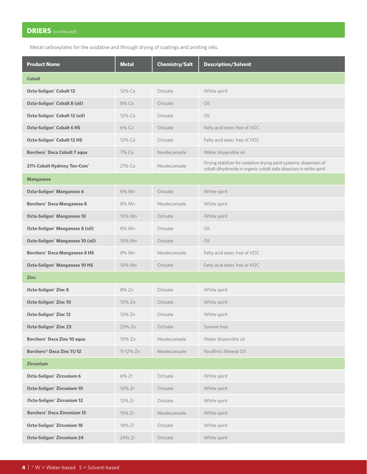Metal carboxylates for the oxidative and through drying of coatings and printing inks.

| <b>Product Name</b>                             | <b>Metal</b> | Chemistry/Salt | <b>Description/Solvent</b>                                                                                                                  |  |  |  |  |
|-------------------------------------------------|--------------|----------------|---------------------------------------------------------------------------------------------------------------------------------------------|--|--|--|--|
| <b>Cobalt</b>                                   |              |                |                                                                                                                                             |  |  |  |  |
| <b>Octa-Soligen<sup>®</sup> Cobalt 12</b>       | 12% Co       | Octoate        | White spirit                                                                                                                                |  |  |  |  |
| <b>Octa-Soligen<sup>®</sup> Cobalt 8 (oil)</b>  | 8% Co        | Octoate        | Oil                                                                                                                                         |  |  |  |  |
| <b>Octa-Soligen<sup>®</sup> Cobalt 12 (oil)</b> | 12% Co       | Octoate        | Oil                                                                                                                                         |  |  |  |  |
| <b>Octa-Soligen<sup>®</sup> Cobalt 6 HS</b>     | 6% Co        | Octoate        | Fatty acid ester, free of VOC                                                                                                               |  |  |  |  |
| <b>Octa-Soligen<sup>®</sup> Cobalt 12 HS</b>    | 12% Co       | Octoate        | Fatty acid ester, free of VOC                                                                                                               |  |  |  |  |
| <b>Borchers<sup>®</sup> Deca Cobalt 7 aqua</b>  | 7% Co        | Neodecanoate   | Water dispersible oil                                                                                                                       |  |  |  |  |
| 21% Cobalt Hydroxy Ten-Cem®                     | 21% Co       | Neodecanoate   | Drying stabilizer for oxidative drying paint systems; dispersion of<br>cobalt dihydroxide in organic cobalt salts dissolves in white spirit |  |  |  |  |
| <b>Manganese</b>                                |              |                |                                                                                                                                             |  |  |  |  |
| Octa-Soligen <sup>®</sup> Manganese 6           | 6% Mn        | Octoate        | White spirit                                                                                                                                |  |  |  |  |
| <b>Borchers<sup>®</sup> Deca Manganese 8</b>    | 8% Mn        | Neodecanoate   | White spirit                                                                                                                                |  |  |  |  |
| <b>Octa-Soligen<sup>®</sup> Manganese 10</b>    | 10% Mn       | Octoate        | White spirit                                                                                                                                |  |  |  |  |
| Octa-Soligen <sup>®</sup> Manganese 8 (oil)     | 8% Mn        | Octoate        | Oil                                                                                                                                         |  |  |  |  |
| Octa-Soligen <sup>®</sup> Manganese 10 (oil)    | 10% Mn       | Octoate        | Oil                                                                                                                                         |  |  |  |  |
| <b>Borchers<sup>®</sup> Deca Manganese 8 HS</b> | 8% Mn        | Neodecanoate   | Fatty acid ester, free of VOC                                                                                                               |  |  |  |  |
| <b>Octa-Soligen<sup>®</sup> Manganese 10 HS</b> | 10% Mn       | Octoate        | Fatty acid ester, free of VOC                                                                                                               |  |  |  |  |
| <b>Zinc</b>                                     |              |                |                                                                                                                                             |  |  |  |  |
| <b>Octa-Soligen<sup>®</sup> Zinc 8</b>          | 8% Zn        | Octoate        | White spirit                                                                                                                                |  |  |  |  |
| <b>Octa-Soligen<sup>®</sup> Zinc 10</b>         | 10% Zn       | Octoate        | White spirit                                                                                                                                |  |  |  |  |
| <b>Octa-Soligen<sup>®</sup> Zinc 12</b>         | 12% Zn       | Octoate        | White spirit                                                                                                                                |  |  |  |  |
| <b>Octa-Soligen<sup>®</sup> Zinc 23</b>         | 23% Zn       | Octoate        | Solvent-free                                                                                                                                |  |  |  |  |
| <b>Borchers<sup>®</sup> Deca Zinc 10 aqua</b>   | 10% Zn       | Neodecanoate   | Water dispersible oil                                                                                                                       |  |  |  |  |
| Borchers® Deca Zinc 11/12                       | 11-12% Zn    | Neodecanoate   | Paraffinic Mineral Oil                                                                                                                      |  |  |  |  |
| <b>Zirconium</b>                                |              |                |                                                                                                                                             |  |  |  |  |
| Octa-Soligen <sup>®</sup> Zirconium 6           | 6% Zr        | Octoate        | White spirit                                                                                                                                |  |  |  |  |
| <b>Octa-Soligen<sup>®</sup> Zirconium 10</b>    | 10% Zr       | Octoate        | White spirit                                                                                                                                |  |  |  |  |
| <b>Octa-Soligen<sup>®</sup> Zirconium 12</b>    | 12% Zr       | Octoate        | White spirit                                                                                                                                |  |  |  |  |
| <b>Borchers<sup>®</sup> Deca Zirconium 15</b>   | 15% Zr       | Neodecanoate   | White spirit                                                                                                                                |  |  |  |  |
| <b>Octa-Soligen<sup>®</sup> Zirconium 18</b>    | 18% Zr       | Octoate        | White spirit                                                                                                                                |  |  |  |  |
| Octa-Soligen <sup>®</sup> Zirconium 24          | 24% Zr       | Octoate        | White spirit                                                                                                                                |  |  |  |  |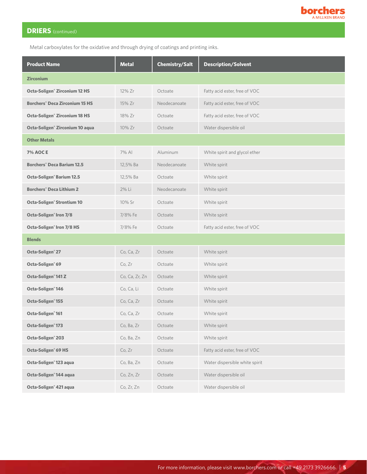

Metal carboxylates for the oxidative and through drying of coatings and printing inks.

| <b>Product Name</b>                              | <b>Metal</b>   | Chemistry/Salt | <b>Description/Solvent</b>     |
|--------------------------------------------------|----------------|----------------|--------------------------------|
| <b>Zirconium</b>                                 |                |                |                                |
| <b>Octa-Soligen<sup>®</sup> Zirconium 12 HS</b>  | 12% Zr         | Octoate        | Fatty acid ester, free of VOC  |
| <b>Borchers<sup>®</sup> Deca Zirconium 15 HS</b> | 15% Zr         | Neodecanoate   | Fatty acid ester, free of VOC  |
| <b>Octa-Soligen<sup>®</sup> Zirconium 18 HS</b>  | 18% Zr         | Octoate        | Fatty acid ester, free of VOC  |
| Octa-Soligen <sup>®</sup> Zirconium 10 aqua      | 10% Zr         | Octoate        | Water dispersible oil          |
| <b>Other Metals</b>                              |                |                |                                |
| <b>7% AOCE</b>                                   | 7% AI          | Aluminum       | White spirit and glycol ether  |
| <b>Borchers<sup>®</sup> Deca Barium 12.5</b>     | 12,5% Ba       | Neodecanoate   | White spirit                   |
| <b>Octa-Soligen<sup>®</sup> Barium 12.5</b>      | 12,5% Ba       | Octoate        | White spirit                   |
| <b>Borchers<sup>®</sup> Deca Lithium 2</b>       | 2% Li          | Neodecanoate   | White spirit                   |
| <b>Octa-Soligen<sup>®</sup> Strontium 10</b>     | 10% Sr         | Octoate        | White spirit                   |
| Octa-Soligen <sup>®</sup> Iron 7/8               | 7/8% Fe        | Octoate        | White spirit                   |
| Octa-Soligen <sup>®</sup> Iron 7/8 HS            | 7/8% Fe        | Octoate        | Fatty acid ester, free of VOC  |
| <b>Blends</b>                                    |                |                |                                |
| Octa-Soligen <sup>®</sup> 27                     | Co, Ca, Zr     | Octoate        | White spirit                   |
| Octa-Soligen® 69                                 | Co, Zr         | Octoate        | White spirit                   |
| Octa-Soligen <sup>®</sup> 141 Z                  | Co, Ca, Zr, Zn | Octoate        | White spirit                   |
| Octa-Soligen <sup>®</sup> 146                    | Co, Ca, Li     | Octoate        | White spirit                   |
| Octa-Soligen <sup>®</sup> 155                    | Co, Ca, Zr     | Octoate        | White spirit                   |
| Octa-Soligen <sup>®</sup> 161                    | Co, Ca, Zr     | Octoate        | White spirit                   |
| Octa-Soligen <sup>®</sup> 173                    | Co, Ba, Zr     | Octoate        | White spirit                   |
| Octa-Soligen <sup>®</sup> 203                    | Co, Ba, Zn     | Octoate        | White spirit                   |
| Octa-Soligen <sup>®</sup> 69 HS                  | Co, Zr         | Octoate        | Fatty acid ester, free of VOC  |
| Octa-Soligen <sup>®</sup> 123 aqua               | Co, Ba, Zn     | Octoate        | Water dispersible white spirit |
| Octa-Soligen <sup>®</sup> 144 aqua               | Co, Zn, Zr     | Octoate        | Water dispersible oil          |
| Octa-Soligen <sup>®</sup> 421 aqua               | Co, Zr, Zn     | Octoate        | Water dispersible oil          |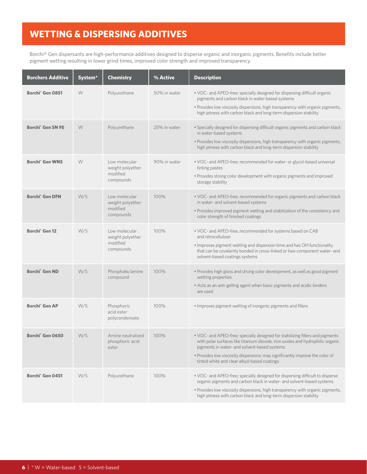## **WETTING & DISPERSING ADDITIVES**

Borchi® Gen dispersants are high-performance additives designed to disperse organic and inorganic pigments. Benefits include better pigment wetting resulting in lower grind times, improved color strength and improved transparency.

| <b>Borchers Additive</b>          | System* | <b>Chemistry</b>                                           | % Active     | <b>Description</b>                                                                                                                                                                                                                                                                                                                             |
|-----------------------------------|---------|------------------------------------------------------------|--------------|------------------------------------------------------------------------------------------------------------------------------------------------------------------------------------------------------------------------------------------------------------------------------------------------------------------------------------------------|
| Borchi <sup>®</sup> Gen 0851      | W       | Polyurethane                                               | 50% in water | . VOC- and APEO-free; specially designed for dispersing difficult organic<br>pigments and carbon black in water-based systems<br>. Provides low viscosity dispersions, high transparency with organic pigments,<br>high jetness with carbon black and long-term dispersion stability                                                           |
| Borchi <sup>®</sup> Gen SN 95     | W       | Polyurethane                                               | 25% in water | . Specially designed for dispersing difficult organic pigments and carbon black<br>in water-based systems<br>. Provides low viscosity dispersions, high transparency with organic pigments,<br>high jetness with carbon black and long-term dispersion stability                                                                               |
| <b>Borchi<sup>®</sup></b> Gen WNS | W       | Low molecular<br>weight polyether<br>modified<br>compounds | 90% in water | • VOC- and APEO-free; recommended for water- or glycol-based universal<br>tinting pastes<br>. Provides strong color development with organic pigments and improved<br>storage stability                                                                                                                                                        |
| <b>Borchi<sup>®</sup></b> Gen DFN | W/S     | Low molecular<br>weight polyether<br>modified<br>compounds | 100%         | . VOC- and APEO-free; recommended for organic pigments and carbon black<br>in water- and solvent-based systems<br>. Provides improved pigment wetting and stabilization of the consistency and<br>color strength of finished coatings                                                                                                          |
| Borchi <sup>®</sup> Gen 12        | W/S     | Low molecular<br>weight polyether<br>modified<br>compounds | 100%         | . VOC- and APEO-free; recommended for systems based on CAB<br>and nitrocellulose<br>. Improves pigment wetting and dispersion time and has OH functionality<br>that can be covalently bonded in cross-linked or two-component water- and<br>solvent-based coatings systems                                                                     |
| <b>Borchi<sup>®</sup></b> Gen ND  | W/S     | Phosphate/amine<br>compound                                | 100%         | · Provides high gloss and strong color development, as well as good pigment<br>wetting properties<br>• Acts as an anti-gelling agent when basic pigments and acidic binders<br>are used                                                                                                                                                        |
| <b>Borchi<sup>®</sup></b> Gen AP  | W/S     | Phosphoric<br>acid ester<br>polycondensate                 | 100%         | . Improves pigment wetting of inorganic pigments and fillers                                                                                                                                                                                                                                                                                   |
| Borchi <sup>®</sup> Gen 0650      | W/S     | Amine neutralized<br>phosphoric acid<br>ester              | 100%         | . VOC- and APEO-free; specially designed for stabilizing fillers and pigments<br>with polar surfaces like titanium dioxide, iron oxides and hydrophilic organic<br>pigments in water- and solvent-based systems<br>. Provides low viscosity dispersions; may significantly improve the color of<br>tinted white and clear alkyd-based coatings |
| Borchi <sup>®</sup> Gen 0451      | W/S     | Polyurethane                                               | 100%         | . VOC- and APEO-free; specially designed for dispersing difficult to disperse<br>organic pigments and carbon black in water- and solvent-based systems<br>. Provides low viscosity dispersions, high transparency with organic pigments,<br>high jetness with carbon black and long-term dispersion stability                                  |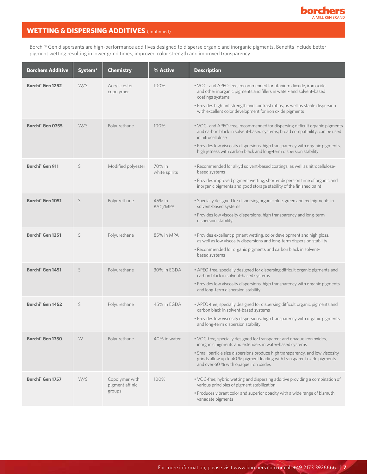

## **WETTING & DISPERSING ADDITIVES** (continued)

Borchi® Gen dispersants are high-performance additives designed to disperse organic and inorganic pigments. Benefits include better pigment wetting resulting in lower grind times, improved color strength and improved transparency.

| <b>Borchers Additive</b>     | System <sup>*</sup> | <b>Chemistry</b>                            | % Active                | <b>Description</b>                                                                                                                                                                                                                                                                                                                      |
|------------------------------|---------------------|---------------------------------------------|-------------------------|-----------------------------------------------------------------------------------------------------------------------------------------------------------------------------------------------------------------------------------------------------------------------------------------------------------------------------------------|
| Borchi <sup>®</sup> Gen 1252 | W/S                 | Acrylic ester<br>copolymer                  | 100%                    | . VOC- and APEO-free; recommended for titanium dioxide, iron oxide<br>and other inorganic pigments and fillers in water- and solvent-based<br>coatings systems<br>. Provides high tint strength and contrast ratios, as well as stable dispersion<br>with excellent color development for iron oxide pigments                           |
| Borchi <sup>®</sup> Gen 0755 | W/S                 | Polyurethane                                | 100%                    | . VOC- and APEO-free; recommended for dispersing difficult organic pigments<br>and carbon black in solvent-based systems; broad compatibility; can be used<br>in nitrocellulose<br>. Provides low viscosity dispersions, high transparency with organic pigments,<br>high jetness with carbon black and long-term dispersion stability  |
| Borchi <sup>®</sup> Gen 911  | S                   | Modified polyester                          | 70% in<br>white spirits | • Recommended for alkyd solvent-based coatings, as well as nitrocellulose-<br>based systems<br>. Provides improved pigment wetting, shorter dispersion time of organic and<br>inorganic pigments and good storage stability of the finished paint                                                                                       |
| Borchi <sup>®</sup> Gen 1051 | S                   | Polyurethane                                | 45% in<br>BAC/MPA       | · Specially designed for dispersing organic blue, green and red pigments in<br>solvent-based systems<br>· Provides low viscosity dispersions, high transparency and long-term<br>dispersion stability                                                                                                                                   |
| Borchi <sup>®</sup> Gen 1251 | S                   | Polyurethane                                | 85% in MPA              | . Provides excellent pigment wetting, color development and high gloss,<br>as well as low viscosity dispersions and long-term dispersion stability<br>. Recommended for organic pigments and carbon black in solvent-<br>based systems                                                                                                  |
| Borchi <sup>®</sup> Gen 1451 | S                   | Polyurethane                                | 30% in EGDA             | • APEO-free; specially designed for dispersing difficult organic pigments and<br>carbon black in solvent-based systems<br>. Provides low viscosity dispersions, high transparency with organic pigments<br>and long-term dispersion stability                                                                                           |
| Borchi <sup>®</sup> Gen 1452 | S                   | Polyurethane                                | 45% in EGDA             | • APEO-free; specially designed for dispersing difficult organic pigments and<br>carbon black in solvent-based systems<br>· Provides low viscosity dispersions, high transparency with organic pigments<br>and long-term dispersion stability                                                                                           |
| Borchi <sup>®</sup> Gen 1750 | W                   | Polyurethane                                | 40% in water            | . VOC-free; specially designed for transparent and opaque iron oxides,<br>inorganic pigments and extenders in water-based systems<br>• Small particle size dispersions produce high transparency, and low viscosity<br>grinds allow up to 40 % pigment loading with transparent oxide pigments<br>and over 60 % with opaque iron oxides |
| Borchi <sup>®</sup> Gen 1757 | W/S                 | Copolymer with<br>pigment affinic<br>groups | 100%                    | . VOC-free; hybrid wetting and dispersing additive providing a combination of<br>various principles of pigment stabilization<br>. Produces vibrant color and superior opacity with a wide range of bismuth<br>vanadate pigments                                                                                                         |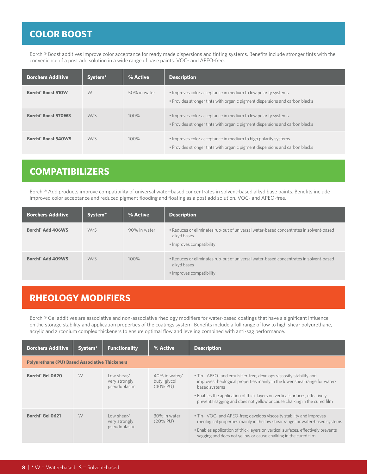# **COLOR BOOST**

Borchi® Boost additives improve color acceptance for ready made dispersions and tinting systems. Benefits include stronger tints with the convenience of a post add solution in a wide range of base paints. VOC- and APEO-free.

| <b>Borchers Additive</b>              | System <sup>*</sup> | % Active     | <b>Description</b>                                                                                                                             |
|---------------------------------------|---------------------|--------------|------------------------------------------------------------------------------------------------------------------------------------------------|
| <b>Borchi<sup>®</sup> Boost 510W</b>  | W                   | 50% in water | • Improves color acceptance in medium to low polarity systems<br>. Provides stronger tints with organic pigment dispersions and carbon blacks  |
| Borchi <sup>®</sup> Boost 570WS       | W/S                 | 100%         | • Improves color acceptance in medium to low polarity systems<br>• Provides stronger tints with organic pigment dispersions and carbon blacks  |
| <b>Borchi<sup>®</sup> Boost 540WS</b> | W/S                 | 100%         | • Improves color acceptance in medium to high polarity systems<br>• Provides stronger tints with organic pigment dispersions and carbon blacks |

## **COMPATIBILIZERS**

Borchi® Add products improve compatibility of universal water-based concentrates in solvent-based alkyd base paints. Benefits include improved color acceptance and reduced pigment flooding and floating as a post add solution. VOC- and APEO-free.

| Borchers Additive             | System <sup>*</sup> | % Active     | <b>Description</b>                                                                                                                |
|-------------------------------|---------------------|--------------|-----------------------------------------------------------------------------------------------------------------------------------|
| Borchi <sup>®</sup> Add 406WS | W/S                 | 90% in water | • Reduces or eliminates rub-out of universal water-based concentrates in solvent-based<br>alkyd bases<br>• Improves compatibility |
| Borchi <sup>®</sup> Add 409WS | W/S                 | 100%         | • Reduces or eliminates rub-out of universal water-based concentrates in solvent-based<br>alkyd bases<br>• Improves compatibility |

## **RHEOLOGY MODIFIERS**

Borchi® Gel additives are associative and non-associative rheology modifiers for water-based coatings that have a significant influence on the storage stability and application properties of the coatings system. Benefits include a full range of low to high shear polyurethane, acrylic and zirconium complex thickeners to ensure optimal flow and leveling combined with anti-sag performance.

| <b>Borchers Additive</b>                              | System <sup>*</sup> | <b>Functionality</b>                         | % Active                                     | <b>Description</b>                                                                                                                                                                                                                                                                                                            |  |  |  |  |
|-------------------------------------------------------|---------------------|----------------------------------------------|----------------------------------------------|-------------------------------------------------------------------------------------------------------------------------------------------------------------------------------------------------------------------------------------------------------------------------------------------------------------------------------|--|--|--|--|
| <b>Polyurethane (PU) Based Associative Thickeners</b> |                     |                                              |                                              |                                                                                                                                                                                                                                                                                                                               |  |  |  |  |
| Borchi <sup>®</sup> Gel 0620                          | W                   | Low shear/<br>very strongly<br>pseudoplastic | 40% in water/<br>butyl glycol<br>$(40\%$ PU) | • Tin-, APEO- and emulsifier-free; develops viscosity stability and<br>improves rheological properties mainly in the lower shear range for water-<br>based systems<br>• Enables the application of thick layers on vertical surfaces, effectively<br>prevents sagging and does not yellow or cause chalking in the cured film |  |  |  |  |
| Borchi <sup>®</sup> Gel 0621                          | W                   | Low shear/<br>very strongly<br>pseudoplastic | 30% in water<br>$(20\%$ PU)                  | • Tin-, VOC- and APEO-free; develops viscosity stability and improves<br>rheological properties mainly in the low shear range for water-based systems<br>• Enables application of thick layers on vertical surfaces, effectively prevents<br>sagging and does not yellow or cause chalking in the cured film                  |  |  |  |  |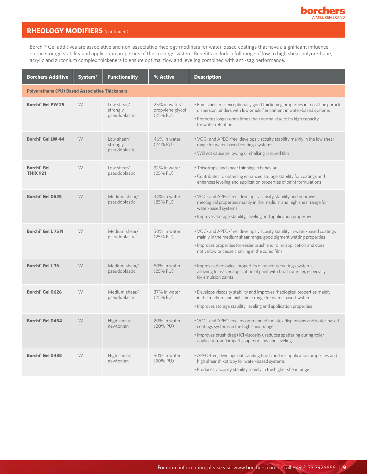

## **RHEOLOGY MODIFIERS** (continued)

Borchi® Gel additives are associative and non-associative rheology modifiers for water-based coatings that have a significant influence on the storage stability and application properties of the coatings system. Benefits include a full range of low to high shear polyurethane, acrylic and zirconium complex thickeners to ensure optimal flow and leveling combined with anti-sag performance.

| <b>Borchers Additive</b>                              | System* | <b>Functionality</b>                    | % Active                                        | <b>Description</b>                                                                                                                                                                                                                                                          |  |  |  |
|-------------------------------------------------------|---------|-----------------------------------------|-------------------------------------------------|-----------------------------------------------------------------------------------------------------------------------------------------------------------------------------------------------------------------------------------------------------------------------------|--|--|--|
| <b>Polyurethane (PU) Based Associative Thickeners</b> |         |                                         |                                                 |                                                                                                                                                                                                                                                                             |  |  |  |
| Borchi <sup>®</sup> Gel PW 25                         | W       | Low shear/<br>strongly<br>pseudoplastic | 25% in water/<br>propylene glycol<br>$(25%$ PU) | . Emulsifier-free; exceptionally good thickening properties in most fine particle<br>dispersion binders with low emulsifier content in water-based systems<br>• Promotes longer open times than normal due to its high capacity<br>for water retention                      |  |  |  |
| Borchi <sup>®</sup> Gel LW 44                         | W       | Low shear/<br>strongly<br>pseudoplastic | 46% in water<br>$(24\%$ PU)                     | • VOC- and APEO-free; develops viscosity stability mainly in the low shear<br>range for water-based coatings systems<br>. Will not cause yellowing or chalking in cured film                                                                                                |  |  |  |
| Borchi <sup>®</sup> Gel<br><b>THIX 921</b>            | W       | Low shear/<br>pseudoplastic             | 32% in water<br>(25% PU)                        | . Thixotropic and shear thinning in behavior<br>. Contributes to obtaining enhanced storage stability for coatings and<br>enhances leveling and application properties of paint formulations                                                                                |  |  |  |
| Borchi <sup>®</sup> Gel 0625                          | W       | Medium shear/<br>pseudoplastic          | 34% in water<br>(25% PU)                        | • VOC- and APEO-free; develops viscosity stability and improves<br>rheological properties mainly in the medium and high shear range for<br>water-based systems<br>· Improves storage stability, leveling and application properties                                         |  |  |  |
| Borchi <sup>®</sup> Gel L 75 N                        | W       | Medium shear/<br>pseudoplastic          | 50% in water<br>$(25%$ PU)                      | • VOC- and APEO-free; develops viscosity stability in water-based coatings<br>mainly in the medium shear range; good pigment wetting properties<br>· Improves properties for easier brush and roller application and does<br>not yellow or cause chalking in the cured film |  |  |  |
| Borchi <sup>®</sup> Gel L 76                          | W       | Medium shear/<br>pseudoplastic          | 50% in water<br>(25% PU)                        | . Improves rheological properties of aqueous coatings systems,<br>allowing for easier application of paint with brush or roller, especially<br>for emulsion paints                                                                                                          |  |  |  |
| Borchi <sup>®</sup> Gel 0626                          | W       | Medium shear/<br>pseudoplastic          | 37% in water<br>(25% PU)                        | . Develops viscosity stability and improves rheological properties mainly<br>in the medium and high shear range for water-based systems<br>· Improves storage stability, leveling and application properties                                                                |  |  |  |
| Borchi <sup>®</sup> Gel 0434                          | W       | High shear/<br>newtonian                | 20% in water<br>(20% PU)                        | • VOC- and APEO-free; recommended for latex dispersions and water-based<br>coatings systems in the high shear range<br>• Improves brush drag (ICI viscosity), reduces spattering during roller<br>application, and imparts superior flow and leveling                       |  |  |  |
| Borchi <sup>®</sup> Gel 0435                          | W       | High shear/<br>newtonian                | 50% in water<br>(30% PU)                        | • APEO-free; develops outstanding brush and roll application properties and<br>high shear thixotropy for water-based systems<br>. Produces viscosity stability mainly in the higher shear range                                                                             |  |  |  |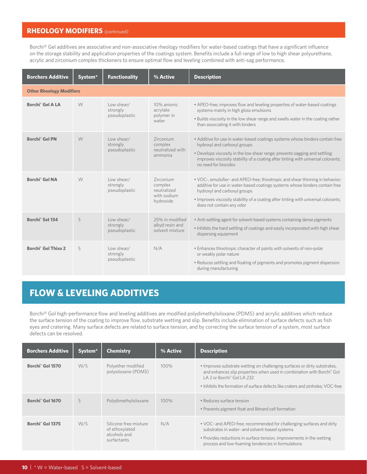#### **RHEOLOGY MODIFIERS** (continued)

Borchi® Gel additives are associative and non-associative rheology modifiers for water-based coatings that have a significant influence on the storage stability and application properties of the coatings system. Benefits include a full range of low to high shear polyurethane, acrylic and zirconium complex thickeners to ensure optimal flow and leveling combined with anti-sag performance.

| <b>Borchers Additive</b>              | System <sup>*</sup>             | <b>Functionality</b>                    | % Active                                                        | <b>Description</b>                                                                                                                                                                                                                                                                                                |  |  |
|---------------------------------------|---------------------------------|-----------------------------------------|-----------------------------------------------------------------|-------------------------------------------------------------------------------------------------------------------------------------------------------------------------------------------------------------------------------------------------------------------------------------------------------------------|--|--|
|                                       | <b>Other Rheology Modifiers</b> |                                         |                                                                 |                                                                                                                                                                                                                                                                                                                   |  |  |
| <b>Borchi<sup>®</sup></b> Gel A LA    | W                               | Low shear/<br>strongly<br>pseudoplastic | 10% anionic<br>acrylate<br>polymer in<br>water                  | • APEO-free; improves flow and leveling properties of water-based coatings<br>systems mainly in high gloss emulsions<br>. Builds viscosity in the low shear range and swells water in the coating rather<br>than associating it with binders                                                                      |  |  |
| <b>Borchi<sup>®</sup></b> Gel PN      | W                               | Low shear/<br>strongly<br>pseudoplastic | Zirconium<br>complex<br>neutralized with<br>ammonia             | • Additive for use in water-based coatings systems whose binders contain free<br>hydroxyl and carboxyl groups<br>. Develops viscosity in the low shear range; prevents sagging and settling;<br>improves viscosity stability of a coating after tinting with universal colorants;<br>no need for biocides         |  |  |
| <b>Borchi<sup>®</sup></b> Gel NA      | W                               | Low shear/<br>strongly<br>pseudoplastic | Zirconium<br>complex<br>neutralized<br>with sodium<br>hydroxide | . VOC-, emulsifier- and APEO-free; thixotropic and shear thinning in behavior;<br>additive for use in water-based coatings systems whose binders contain free<br>hydroxyl and carboxyl groups<br>. Improves viscosity stability of a coating after tinting with universal colorants;<br>does not contain any odor |  |  |
| Borchi <sup>®</sup> Set 134           | S                               | Low shear/<br>strongly<br>pseudoplastic | 25% in modified<br>alkyd resin and<br>solvent mixture           | • Anti-settling agent for solvent-based systems containing dense pigments<br>. Inhibits the hard settling of coatings and easily incorporated with high shear<br>dispersing equipment                                                                                                                             |  |  |
| <b>Borchi<sup>®</sup></b> Gel Thixo 2 | S                               | Low shear/<br>strongly<br>pseudoplastic | N/A                                                             | . Enhances thixotropic character of paints with solvents of non-polar<br>or weakly polar nature<br>• Reduces settling and floating of pigments and promotes pigment dispersion<br>during manufacturing                                                                                                            |  |  |

## **FLOW & LEVELING ADDITIVES**

Borchi® Gol high-performance flow and leveling additives are modified polydimethylsiloxane (PDMS) and acrylic additives which reduce the surface tension of the coating to improve flow, substrate wetting and slip. Benefits include elimination of surface defects such as fish eyes and cratering. Many surface defects are related to surface tension, and by correcting the surface tension of a system, most surface defects can be resolved.

| <b>Borchers Additive</b>     | System <sup>*</sup> | <b>Chemistry</b>                                                       | % Active | <b>Description</b>                                                                                                                                                                                                                                                               |
|------------------------------|---------------------|------------------------------------------------------------------------|----------|----------------------------------------------------------------------------------------------------------------------------------------------------------------------------------------------------------------------------------------------------------------------------------|
| Borchi <sup>®</sup> Gol 1570 | W/S                 | Polyether modified<br>polysiloxane (PDMS)                              | $100\%$  | • Improves substrate wetting on challenging surfaces or dirty substrates,<br>and enhances slip properties when used in combination with Borchi® Gol<br>LA 2 or Borchi <sup>®</sup> Gol LA 232<br>. Inhibits the formation of surface defects like craters and pinholes; VOC-free |
| Borchi <sup>®</sup> Gol 1670 | S                   | Polydimethylsiloxane                                                   | $100\%$  | · Reduces surface tension<br>• Prevents pigment float and Bénard cell formation                                                                                                                                                                                                  |
| Borchi <sup>®</sup> Gol 1375 | W/S                 | Silicone-free mixture<br>of ethoxylated<br>alcohols and<br>surfactants | N/A      | • VOC- and APEO-free; recommended for challenging surfaces and dirty<br>substrates in water- and solvent-based systems<br>• Provides reductions in surface tension, improvements in the wetting<br>process and low-foaming tendencies in formulations                            |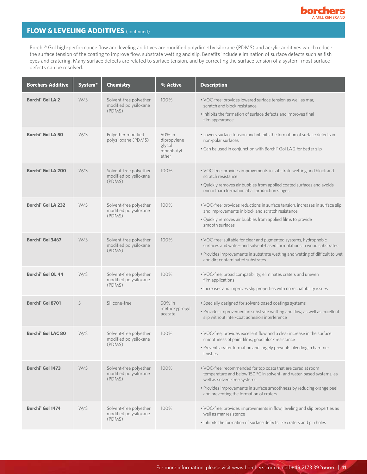

## **FLOW & LEVELING ADDITIVES** (continued)

Borchi® Gol high-performance flow and leveling additives are modified polydimethylsiloxane (PDMS) and acrylic additives which reduce the surface tension of the coating to improve flow, substrate wetting and slip. Benefits include elimination of surface defects such as fish eyes and cratering. Many surface defects are related to surface tension, and by correcting the surface tension of a system, most surface defects can be resolved.

| <b>Borchers Additive</b>             | System <sup>*</sup> | <b>Chemistry</b>                                          | % Active                                              | <b>Description</b>                                                                                                                                                                                                                                                                       |
|--------------------------------------|---------------------|-----------------------------------------------------------|-------------------------------------------------------|------------------------------------------------------------------------------------------------------------------------------------------------------------------------------------------------------------------------------------------------------------------------------------------|
| Borchi <sup>®</sup> Gol LA 2         | W/S                 | Solvent-free polyether<br>modified polysiloxane<br>(PDMS) | 100%                                                  | . VOC-free; provides lowered surface tension as well as mar,<br>scratch and block resistance<br>. Inhibits the formation of surface defects and improves final<br>film appearance                                                                                                        |
| <b>Borchi<sup>®</sup></b> Gol LA 50  | W/S                 | Polyether modified<br>polysiloxane (PDMS)                 | 50% in<br>dipropylene<br>glycol<br>monobutyl<br>ether | • Lowers surface tension and inhibits the formation of surface defects in<br>non-polar surfaces<br>• Can be used in conjunction with Borchi <sup>®</sup> Gol LA 2 for better slip                                                                                                        |
| Borchi <sup>®</sup> Gol LA 200       | W/S                 | Solvent-free polyether<br>modified polysiloxane<br>(PDMS) | 100%                                                  | • VOC-free; provides improvements in substrate wetting and block and<br>scratch resistance<br>. Quickly removes air bubbles from applied coated surfaces and avoids<br>micro foam formation at all production stages                                                                     |
| Borchi <sup>®</sup> Gol LA 232       | W/S                 | Solvent-free polyether<br>modified polysiloxane<br>(PDMS) | 100%                                                  | · VOC-free; provides reductions in surface tension, increases in surface slip<br>and improvements in block and scratch resistance<br>. Quickly removes air bubbles from applied films to provide<br>smooth surfaces                                                                      |
| Borchi <sup>®</sup> Gol 3467         | W/S                 | Solvent-free polyether<br>modified polysiloxane<br>(PDMS) | 100%                                                  | • VOC-free; suitable for clear and pigmented systems, hydrophobic<br>surfaces and water- and solvent-based formulations in wood substrates<br>. Provides improvements in substrate wetting and wetting of difficult to wet<br>and dirt contaminated substrates                           |
| <b>Borchi<sup>®</sup></b> Gol OL 44  | W/S                 | Solvent-free polyether<br>modified polysiloxane<br>(PDMS) | 100%                                                  | · VOC-free; broad compatibility; eliminates craters and uneven<br>film applications<br>• Increases and improves slip properties with no recoatability issues                                                                                                                             |
| Borchi <sup>®</sup> Gol 8701         | S                   | Silicone-free                                             | 50% in<br>methoxypropyl<br>acetate                    | • Specially designed for solvent-based coatings systems<br>. Provides improvement in substrate wetting and flow, as well as excellent<br>slip without inter-coat adhesion interference                                                                                                   |
| <b>Borchi<sup>®</sup></b> Gol LAC 80 | W/S                 | Solvent-free polyether<br>modified polysiloxane<br>(PDMS) | 100%                                                  | • VOC-free; provides excellent flow and a clear increase in the surface<br>smoothness of paint films; good block resistance<br>• Prevents crater formation and largely prevents bleeding in hammer<br>finishes                                                                           |
| Borchi <sup>®</sup> Gol 1473         | W/S                 | Solvent-free polyether<br>modified polysiloxane<br>(PDMS) | 100%                                                  | . VOC-free; recommended for top coats that are cured at room<br>temperature and below 150 °C in solvent- and water-based systems, as<br>well as solvent-free systems<br>· Provides improvements in surface smoothness by reducing orange peel<br>and preventing the formation of craters |
| Borchi <sup>®</sup> Gol 1474         | W/S                 | Solvent-free polyether<br>modified polysiloxane<br>(PDMS) | 100%                                                  | . VOC-free; provides improvements in flow, leveling and slip properties as<br>well as mar resistance<br>. Inhibits the formation of surface defects like craters and pin holes                                                                                                           |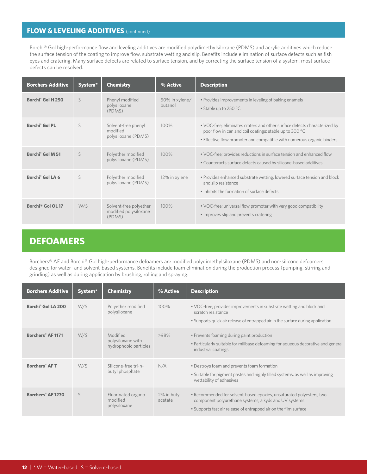#### **FLOW & LEVELING ADDITIVES** (continued)

Borchi® Gol high-performance flow and leveling additives are modified polydimethylsiloxane (PDMS) and acrylic additives which reduce the surface tension of the coating to improve flow, substrate wetting and slip. Benefits include elimination of surface defects such as fish eyes and cratering. Many surface defects are related to surface tension, and by correcting the surface tension of a system, most surface defects can be resolved.

| <b>Borchers Additive</b>      | System <sup>*</sup> | <b>Chemistry</b>                                          | % Active                  | <b>Description</b>                                                                                                                                                                                             |
|-------------------------------|---------------------|-----------------------------------------------------------|---------------------------|----------------------------------------------------------------------------------------------------------------------------------------------------------------------------------------------------------------|
| Borchi <sup>®</sup> Gol H 250 | S                   | Phenyl modified<br>polysiloxane<br>(PDMS)                 | 50% in xylene/<br>butanol | • Provides improvements in leveling of baking enamels<br>• Stable up to 250 °C                                                                                                                                 |
| Borchi <sup>®</sup> Gol PL    | S                   | Solvent-free phenyl<br>modified<br>polysiloxane (PDMS)    | 100%                      | . VOC-free; eliminates craters and other surface defects characterized by<br>poor flow in can and coil coatings; stable up to 300 °C<br>. Effective flow promoter and compatible with numerous organic binders |
| Borchi <sup>®</sup> Gol M 51  | S                   | Polyether modified<br>polysiloxane (PDMS)                 | 100%                      | . VOC-free; provides reductions in surface tension and enhanced flow<br>• Counteracts surface defects caused by silicone-based additives                                                                       |
| Borchi <sup>®</sup> Gol LA 6  | S                   | Polyether modified<br>polysiloxane (PDMS)                 | 12% in xylene             | . Provides enhanced substrate wetting, lowered surface tension and block<br>and slip resistance<br>. Inhibits the formation of surface defects                                                                 |
| Borchi® Gol OL 17             | W/S                 | Solvent-free polyether<br>modified polysiloxane<br>(PDMS) | 100%                      | • VOC-free; universal flow promoter with very good compatibility<br>• Improves slip and prevents cratering                                                                                                     |

## **DEFOAMERS**

Borchers® AF and Borchi® Gol high-performance defoamers are modified polydimethylsiloxane (PDMS) and non-silicone defoamers designed for water- and solvent-based systems. Benefits include foam elimination during the production process (pumping, stirring and grinding) as well as during application by brushing, rolling and spraying.

| <b>Borchers Additive</b>             | System <sup>*</sup> | <b>Chemistry</b>                                       | % Active               | <b>Description</b>                                                                                                                                                                                 |
|--------------------------------------|---------------------|--------------------------------------------------------|------------------------|----------------------------------------------------------------------------------------------------------------------------------------------------------------------------------------------------|
| <b>Borchi<sup>®</sup></b> Gol LA 200 | W/S                 | Polyether modified<br>polysiloxane                     | 100%                   | • VOC-free; provides improvements in substrate wetting and block and<br>scratch resistance<br>• Supports quick air release of entrapped air in the surface during application                      |
| <b>Borchers<sup>®</sup></b> AF 1171  | W/S                 | Modified<br>polysiloxane with<br>hydrophobic particles | >98%                   | • Prevents foaming during paint production<br>• Particularly suitable for millbase defoaming for aqueous decorative and general<br>industrial coatings                                             |
| <b>Borchers<sup>®</sup></b> AFT      | W/S                 | Silicone-free tri-n-<br>butyl phosphate                | N/A                    | • Destroys foam and prevents foam formation<br>• Suitable for pigment pastes and highly filled systems, as well as improving<br>wettability of adhesives                                           |
| Borchers <sup>®</sup> AF 1270        | S                   | Fluorinated organo-<br>modified<br>polysiloxane        | 2% in butyl<br>acetate | . Recommended for solvent-based epoxies, unsaturated polyesters, two-<br>component polyurethane systems, alkyds and UV systems<br>• Supports fast air release of entrapped air on the film surface |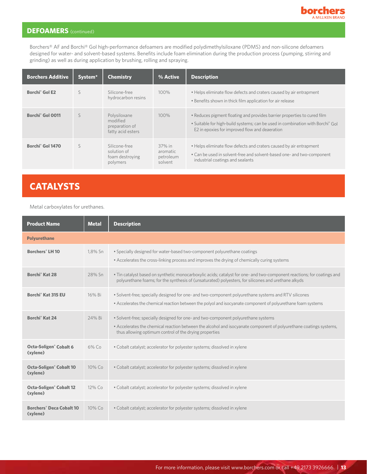

#### **DEFOAMERS** (continued)

Borchers® AF and Borchi® Gol high-performance defoamers are modified polydimethylsiloxane (PDMS) and non-silicone defoamers designed for water- and solvent-based systems. Benefits include foam elimination during the production process (pumping, stirring and grinding) as well as during application by brushing, rolling and spraying.

| <b>Borchers Additive</b>     | System <sup>*</sup> | <b>Chemistry</b>                                                | % Active                                   | <b>Description</b>                                                                                                                                                                                           |
|------------------------------|---------------------|-----------------------------------------------------------------|--------------------------------------------|--------------------------------------------------------------------------------------------------------------------------------------------------------------------------------------------------------------|
| Borchi <sup>®</sup> Gol E2   | S                   | Silicone-free<br>hydrocarbon resins                             | 100%                                       | • Helps eliminate flow defects and craters caused by air entrapment<br>• Benefits shown in thick film application for air release                                                                            |
| Borchi <sup>®</sup> Gol 0011 | $\varsigma$         | Polysiloxane<br>modified<br>preparation of<br>fatty acid esters | $100\%$                                    | • Reduces pigment floating and provides barrier properties to cured film<br>• Suitable for high-build systems; can be used in combination with Borchi® Gol<br>E2 in epoxies for improved flow and deaeration |
| Borchi <sup>®</sup> Gol 1470 | $\varsigma$         | Silicone-free<br>solution of<br>foam destroying<br>polymers     | 37% in<br>aromatic<br>petroleum<br>solvent | • Helps eliminate flow defects and craters caused by air entrapment<br>• Can be used in solvent-free and solvent-based one- and two-component<br>industrial coatings and sealants                            |

# **CATALYSTS**

Metal carboxylates for urethanes.

| <b>Product Name</b>                                    | <b>Metal</b> | <b>Description</b>                                                                                                                                                                                                                                                 |
|--------------------------------------------------------|--------------|--------------------------------------------------------------------------------------------------------------------------------------------------------------------------------------------------------------------------------------------------------------------|
| <b>Polyurethane</b>                                    |              |                                                                                                                                                                                                                                                                    |
| <b>Borchers</b> <sup>®</sup> LH 10                     | 1,8% Sn      | • Specially designed for water-based two-component polyurethane coatings<br>• Accelerates the cross-linking process and improves the drying of chemically curing systems                                                                                           |
| Borchi <sup>®</sup> Kat 28                             | 28% Sn       | · Tin catalyst based on synthetic monocarboxylic acids; catalyst for one- and two-component reactions; for coatings and<br>polyurethane foams; for the synthesis of (unsaturated) polyesters, for silicones and urethane alkyds                                    |
| Borchi <sup>®</sup> Kat 315 EU                         | 16% Bi       | • Solvent-free; specially designed for one- and two-component polyurethane systems and RTV silicones<br>• Accelerates the chemical reaction between the polyol and isocyanate component of polyurethane foam systems                                               |
| Borchi <sup>®</sup> Kat 24                             | 24% Bi       | · Solvent-free; specially designed for one- and two-component polyurethane systems<br>• Accelerates the chemical reaction between the alcohol and isocyanate component of polyurethane coatings systems,<br>thus allowing optimum control of the drying properties |
| <b>Octa-Soligen<sup>®</sup> Cobalt 6</b><br>(xylene)   | $6\%$ Co     | • Cobalt catalyst; accelerator for polyester systems; dissolved in xylene                                                                                                                                                                                          |
| <b>Octa-Soligen<sup>®</sup> Cobalt 10</b><br>(xylene)  | $10\%$ Co    | • Cobalt catalyst; accelerator for polyester systems; dissolved in xylene                                                                                                                                                                                          |
| <b>Octa-Soligen<sup>®</sup> Cobalt 12</b><br>(xylene)  | 12% Co       | • Cobalt catalyst; accelerator for polyester systems; dissolved in xylene                                                                                                                                                                                          |
| <b>Borchers<sup>®</sup> Deca Cobalt 10</b><br>(xylene) | 10% Co       | • Cobalt catalyst; accelerator for polyester systems; dissolved in xylene                                                                                                                                                                                          |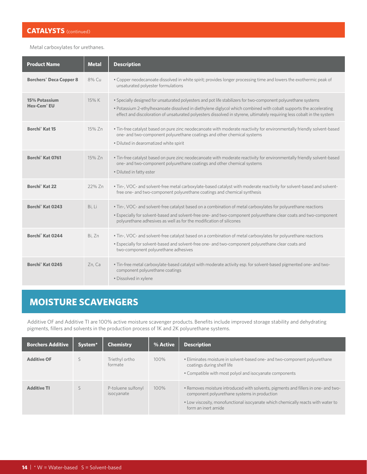#### **CATALYSTS** (continued)

Metal carboxylates for urethanes.

| <b>Product Name</b>                       | <b>Metal</b> | <b>Description</b>                                                                                                                                                                                                                                                                                                                                               |
|-------------------------------------------|--------------|------------------------------------------------------------------------------------------------------------------------------------------------------------------------------------------------------------------------------------------------------------------------------------------------------------------------------------------------------------------|
| <b>Borchers<sup>®</sup> Deca Copper 8</b> | 8% Cu        | • Copper neodecanoate dissolved in white spirit; provides longer processing time and lowers the exothermic peak of<br>unsaturated polyester formulations                                                                                                                                                                                                         |
| 15% Potassium<br>Hex-Cem <sup>®</sup> EU  | 15% K        | . Specially designed for unsaturated polyesters and pot life stabilizers for two-component polyurethane systems<br>• Potassium 2-ethylhexanoate dissolved in diethylene diglycol which combined with cobalt supports the accelerating<br>effect and discoloration of unsaturated polyesters dissolved in styrene, ultimately requiring less cobalt in the system |
| Borchi <sup>®</sup> Kat 15                | 15% Zn       | . Tin-free catalyst based on pure zinc neodecanoate with moderate reactivity for environmentally friendly solvent-based<br>one- and two-component polyurethane coatings and other chemical systems<br>· Diluted in dearomatized white spirit                                                                                                                     |
| Borchi <sup>®</sup> Kat 0761              | 15% Zn       | . Tin-free catalyst based on pure zinc neodecanoate with moderate reactivity for environmentally friendly solvent-based<br>one- and two-component polyurethane coatings and other chemical systems<br>. Diluted in fatty ester                                                                                                                                   |
| Borchi <sup>®</sup> Kat 22                | 22% Zn       | . Tin-, VOC- and solvent-free metal carboxylate-based catalyst with moderate reactivity for solvent-based and solvent-<br>free one- and two-component polyurethane coatings and chemical synthesis                                                                                                                                                               |
| Borchi <sup>®</sup> Kat 0243              | Bi, Li       | • Tin-, VOC- and solvent-free catalyst based on a combination of metal carboxylates for polyurethane reactions<br>. Especially for solvent-based and solvent-free one- and two-component polyurethane clear coats and two-component<br>polyurethane adhesives as well as for the modification of silicones                                                       |
| Borchi <sup>®</sup> Kat 0244              | Bi, Zn       | • Tin-, VOC- and solvent-free catalyst based on a combination of metal carboxylates for polyurethane reactions<br>. Especially for solvent-based and solvent-free one- and two-component polyurethane clear coats and<br>two-component polyurethane adhesives                                                                                                    |
| Borchi <sup>®</sup> Kat 0245              | Zn, Ca       | . Tin-free metal carboxylate-based catalyst with moderate activity esp. for solvent-based pigmented one- and two-<br>component polyurethane coatings<br>· Dissolved in xylene                                                                                                                                                                                    |

# **MOISTURE SCAVENGERS**

Additive OF and Additive TI are 100% active moisture scavenger products. Benefits include improved storage stability and dehydrating pigments, fillers and solvents in the production process of 1K and 2K polyurethane systems.

| <b>Borchers Additive</b> | System <sup>*</sup> | <b>Chemistry</b>                 | % Active | <b>Description</b>                                                                                                                                                                                                                            |
|--------------------------|---------------------|----------------------------------|----------|-----------------------------------------------------------------------------------------------------------------------------------------------------------------------------------------------------------------------------------------------|
| <b>Additive OF</b>       |                     | Triethyl ortho<br>formate        | 100%     | • Eliminates moisture in solvent-based one- and two-component polyurethane<br>coatings during shelf life<br>• Compatible with most polyol and isocyanate components                                                                           |
| <b>Additive TI</b>       |                     | P-toluene sulfonyl<br>isocyanate | 100%     | • Removes moisture introduced with solvents, pigments and fillers in one- and two-<br>component polyurethane systems in production<br>• Low viscosity, monofunctional isocyanate which chemically reacts with water to<br>form an inert amide |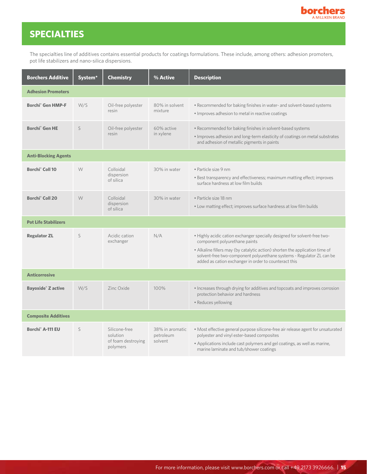

# **SPECIALTIES**

The specialties line of additives contains essential products for coatings formulations. These include, among others: adhesion promoters, pot life stabilizers and nano-silica dispersions.

| <b>Borchers Additive</b>             | System* | <b>Chemistry</b>                                            | % Active                                | <b>Description</b>                                                                                                                                                                                                                                                                                                           |
|--------------------------------------|---------|-------------------------------------------------------------|-----------------------------------------|------------------------------------------------------------------------------------------------------------------------------------------------------------------------------------------------------------------------------------------------------------------------------------------------------------------------------|
| <b>Adhesion Promoters</b>            |         |                                                             |                                         |                                                                                                                                                                                                                                                                                                                              |
| <b>Borchi<sup>®</sup></b> Gen HMP-F  | W/S     | Oil-free polyester<br>resin                                 | 80% in solvent<br>mixture               | . Recommended for baking finishes in water- and solvent-based systems<br>. Improves adhesion to metal in reactive coatings                                                                                                                                                                                                   |
| <b>Borchi<sup>®</sup></b> Gen HE     | S       | Oil-free polyester<br>resin                                 | 60% active<br>in xylene                 | · Recommended for baking finishes in solvent-based systems<br>. Improves adhesion and long-term elasticity of coatings on metal substrates<br>and adhesion of metallic pigments in paints                                                                                                                                    |
| <b>Anti-Blocking Agents</b>          |         |                                                             |                                         |                                                                                                                                                                                                                                                                                                                              |
| Borchi <sup>®</sup> Coll 10          | W       | Colloidal<br>dispersion<br>of silica                        | 30% in water                            | · Particle size 9 nm<br>. Best transparency and effectiveness; maximum matting effect; improves<br>surface hardness at low film builds                                                                                                                                                                                       |
| Borchi <sup>®</sup> Coll 20          | W       | Colloidal<br>dispersion<br>of silica                        | 30% in water                            | · Particle size 18 nm<br>. Low matting effect; improves surface hardness at low film builds                                                                                                                                                                                                                                  |
| <b>Pot Life Stabilizers</b>          |         |                                                             |                                         |                                                                                                                                                                                                                                                                                                                              |
| <b>Regulator ZL</b>                  | S       | Acidic cation<br>exchanger                                  | N/A                                     | . Highly acidic cation exchanger specially designed for solvent-free two-<br>component polyurethane paints<br>• Alkaline fillers may (by catalytic action) shorten the application time of<br>solvent-free two-component polyurethane systems - Regulator ZL can be<br>added as cation exchanger in order to counteract this |
| <b>Anticorrosive</b>                 |         |                                                             |                                         |                                                                                                                                                                                                                                                                                                                              |
| <b>Bayoxide<sup>®</sup> Z active</b> | W/S     | Zinc Oxide                                                  | 100%                                    | . Increases through drying for additives and topcoats and improves corrosion<br>protection behavior and hardness<br>• Reduces yellowing                                                                                                                                                                                      |
| <b>Composite Additives</b>           |         |                                                             |                                         |                                                                                                                                                                                                                                                                                                                              |
| Borchi <sup>®</sup> A-111 EU         | S       | Silicone-free<br>solution<br>of foam destroying<br>polymers | 38% in aromatic<br>petroleum<br>solvent | · Most effective general purpose silicone-free air release agent for unsaturated<br>polyester and vinyl ester-based composites<br>• Applications include cast polymers and gel coatings, as well as marine,<br>marine laminate and tub/shower coatings                                                                       |